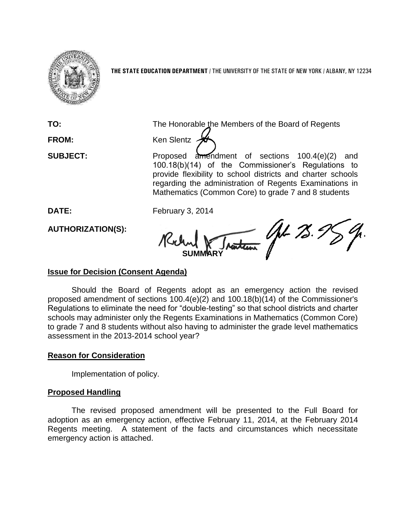

**THE STATE EDUCATION DEPARTMENT** / THE UNIVERSITY OF THE STATE OF NEW YORK / ALBANY, NY 12234

**TO:** The Honorable the Members of the Board of Regents

**FROM:** Ken Slentz

**SUBJECT:** Proposed amendment of sections 100.4(e)(2) and 100.18(b)(14) of the Commissioner's Regulations to provide flexibility to school districts and charter schools regarding the administration of Regents Examinations in Mathematics (Common Core) to grade 7 and 8 students

**DATE:** February 3, 2014

**AUTHORIZATION(S):**

AL 75.9 **SUMMARY**

# **Issue for Decision (Consent Agenda)**

Should the Board of Regents adopt as an emergency action the revised proposed amendment of sections 100.4(e)(2) and 100.18(b)(14) of the Commissioner's Regulations to eliminate the need for "double-testing" so that school districts and charter schools may administer only the Regents Examinations in Mathematics (Common Core) to grade 7 and 8 students without also having to administer the grade level mathematics assessment in the 2013-2014 school year?

# **Reason for Consideration**

Implementation of policy.

# **Proposed Handling**

The revised proposed amendment will be presented to the Full Board for adoption as an emergency action, effective February 11, 2014, at the February 2014 Regents meeting. A statement of the facts and circumstances which necessitate emergency action is attached.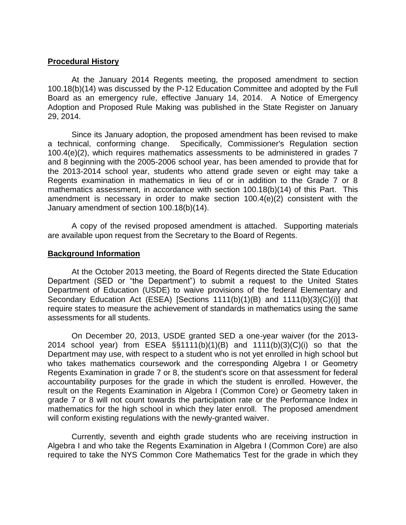## **Procedural History**

At the January 2014 Regents meeting, the proposed amendment to section 100.18(b)(14) was discussed by the P-12 Education Committee and adopted by the Full Board as an emergency rule, effective January 14, 2014. A Notice of Emergency Adoption and Proposed Rule Making was published in the State Register on January 29, 2014.

Since its January adoption, the proposed amendment has been revised to make a technical, conforming change. Specifically, Commissioner's Regulation section 100.4(e)(2), which requires mathematics assessments to be administered in grades 7 and 8 beginning with the 2005-2006 school year, has been amended to provide that for the 2013-2014 school year, students who attend grade seven or eight may take a Regents examination in mathematics in lieu of or in addition to the Grade 7 or 8 mathematics assessment, in accordance with section 100.18(b)(14) of this Part. This amendment is necessary in order to make section 100.4(e)(2) consistent with the January amendment of section 100.18(b)(14).

A copy of the revised proposed amendment is attached. Supporting materials are available upon request from the Secretary to the Board of Regents.

### **Background Information**

At the October 2013 meeting, the Board of Regents directed the State Education Department (SED or "the Department") to submit a request to the United States Department of Education (USDE) to waive provisions of the federal Elementary and Secondary Education Act (ESEA) [Sections 1111(b)(1)(B) and 1111(b)(3)(C)(i)] that require states to measure the achievement of standards in mathematics using the same assessments for all students.

On December 20, 2013, USDE granted SED a one-year waiver (for the 2013- 2014 school year) from ESEA §§1111(b)(1)(B) and 1111(b)(3)(C)(i) so that the Department may use, with respect to a student who is not yet enrolled in high school but who takes mathematics coursework and the corresponding Algebra I or Geometry Regents Examination in grade 7 or 8, the student's score on that assessment for federal accountability purposes for the grade in which the student is enrolled. However, the result on the Regents Examination in Algebra I (Common Core) or Geometry taken in grade 7 or 8 will not count towards the participation rate or the Performance Index in mathematics for the high school in which they later enroll. The proposed amendment will conform existing regulations with the newly-granted waiver.

Currently, seventh and eighth grade students who are receiving instruction in Algebra I and who take the Regents Examination in Algebra I (Common Core) are also required to take the NYS Common Core Mathematics Test for the grade in which they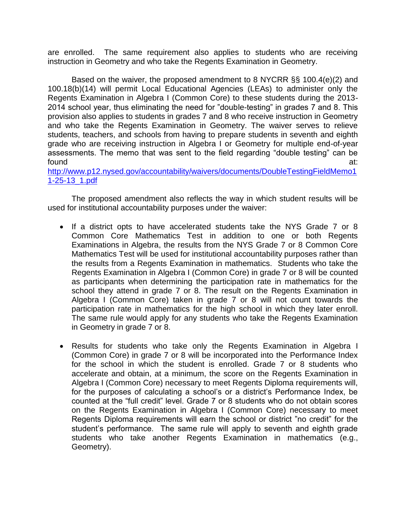are enrolled. The same requirement also applies to students who are receiving instruction in Geometry and who take the Regents Examination in Geometry.

Based on the waiver, the proposed amendment to 8 NYCRR §§ 100.4(e)(2) and 100.18(b)(14) will permit Local Educational Agencies (LEAs) to administer only the Regents Examination in Algebra I (Common Core) to these students during the 2013- 2014 school year, thus eliminating the need for "double-testing" in grades 7 and 8. This provision also applies to students in grades 7 and 8 who receive instruction in Geometry and who take the Regents Examination in Geometry. The waiver serves to relieve students, teachers, and schools from having to prepare students in seventh and eighth grade who are receiving instruction in Algebra I or Geometry for multiple end-of-year assessments. The memo that was sent to the field regarding "double testing" can be found at: the contract of the contract of the contract of the contract of the contract of the contract of the contract of the contract of the contract of the contract of the contract of the contract of the contract of the

[http://www.p12.nysed.gov/accountability/waivers/documents/DoubleTestingFieldMemo1](http://www.p12.nysed.gov/accountability/waivers/documents/DoubleTestingFieldMemo11-25-13_1.pdf) [1-25-13\\_1.pdf](http://www.p12.nysed.gov/accountability/waivers/documents/DoubleTestingFieldMemo11-25-13_1.pdf)

The proposed amendment also reflects the way in which student results will be used for institutional accountability purposes under the waiver:

- If a district opts to have accelerated students take the NYS Grade 7 or 8 Common Core Mathematics Test in addition to one or both Regents Examinations in Algebra, the results from the NYS Grade 7 or 8 Common Core Mathematics Test will be used for institutional accountability purposes rather than the results from a Regents Examination in mathematics. Students who take the Regents Examination in Algebra I (Common Core) in grade 7 or 8 will be counted as participants when determining the participation rate in mathematics for the school they attend in grade 7 or 8. The result on the Regents Examination in Algebra I (Common Core) taken in grade 7 or 8 will not count towards the participation rate in mathematics for the high school in which they later enroll. The same rule would apply for any students who take the Regents Examination in Geometry in grade 7 or 8.
- Results for students who take only the Regents Examination in Algebra I (Common Core) in grade 7 or 8 will be incorporated into the Performance Index for the school in which the student is enrolled. Grade 7 or 8 students who accelerate and obtain, at a minimum, the score on the Regents Examination in Algebra I (Common Core) necessary to meet Regents Diploma requirements will, for the purposes of calculating a school's or a district's Performance Index, be counted at the "full credit" level. Grade 7 or 8 students who do not obtain scores on the Regents Examination in Algebra I (Common Core) necessary to meet Regents Diploma requirements will earn the school or district "no credit" for the student's performance. The same rule will apply to seventh and eighth grade students who take another Regents Examination in mathematics (e.g., Geometry).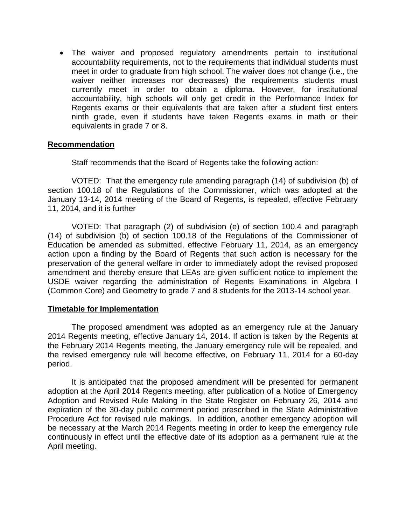The waiver and proposed regulatory amendments pertain to institutional accountability requirements, not to the requirements that individual students must meet in order to graduate from high school. The waiver does not change (i.e., the waiver neither increases nor decreases) the requirements students must currently meet in order to obtain a diploma. However, for institutional accountability, high schools will only get credit in the Performance Index for Regents exams or their equivalents that are taken after a student first enters ninth grade, even if students have taken Regents exams in math or their equivalents in grade 7 or 8.

### **Recommendation**

Staff recommends that the Board of Regents take the following action:

VOTED: That the emergency rule amending paragraph (14) of subdivision (b) of section 100.18 of the Regulations of the Commissioner, which was adopted at the January 13-14, 2014 meeting of the Board of Regents, is repealed, effective February 11, 2014, and it is further

VOTED: That paragraph (2) of subdivision (e) of section 100.4 and paragraph (14) of subdivision (b) of section 100.18 of the Regulations of the Commissioner of Education be amended as submitted, effective February 11, 2014, as an emergency action upon a finding by the Board of Regents that such action is necessary for the preservation of the general welfare in order to immediately adopt the revised proposed amendment and thereby ensure that LEAs are given sufficient notice to implement the USDE waiver regarding the administration of Regents Examinations in Algebra I (Common Core) and Geometry to grade 7 and 8 students for the 2013-14 school year.

#### **Timetable for Implementation**

The proposed amendment was adopted as an emergency rule at the January 2014 Regents meeting, effective January 14, 2014. If action is taken by the Regents at the February 2014 Regents meeting, the January emergency rule will be repealed, and the revised emergency rule will become effective, on February 11, 2014 for a 60-day period.

It is anticipated that the proposed amendment will be presented for permanent adoption at the April 2014 Regents meeting, after publication of a Notice of Emergency Adoption and Revised Rule Making in the State Register on February 26, 2014 and expiration of the 30-day public comment period prescribed in the State Administrative Procedure Act for revised rule makings. In addition, another emergency adoption will be necessary at the March 2014 Regents meeting in order to keep the emergency rule continuously in effect until the effective date of its adoption as a permanent rule at the April meeting.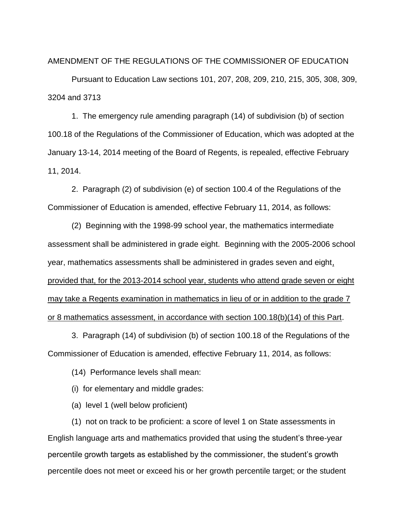AMENDMENT OF THE REGULATIONS OF THE COMMISSIONER OF EDUCATION

Pursuant to Education Law sections 101, 207, 208, 209, 210, 215, 305, 308, 309, 3204 and 3713

1. The emergency rule amending paragraph (14) of subdivision (b) of section 100.18 of the Regulations of the Commissioner of Education, which was adopted at the January 13-14, 2014 meeting of the Board of Regents, is repealed, effective February 11, 2014.

2. Paragraph (2) of subdivision (e) of section 100.4 of the Regulations of the Commissioner of Education is amended, effective February 11, 2014, as follows:

(2) Beginning with the 1998-99 school year, the mathematics intermediate assessment shall be administered in grade eight. Beginning with the 2005-2006 school year, mathematics assessments shall be administered in grades seven and eight, provided that, for the 2013-2014 school year, students who attend grade seven or eight may take a Regents examination in mathematics in lieu of or in addition to the grade 7 or 8 mathematics assessment, in accordance with section 100.18(b)(14) of this Part.

3. Paragraph (14) of subdivision (b) of section 100.18 of the Regulations of the Commissioner of Education is amended, effective February 11, 2014, as follows:

(14) Performance levels shall mean:

(i) for elementary and middle grades:

(a) level 1 (well below proficient)

(1) not on track to be proficient: a score of level 1 on State assessments in English language arts and mathematics provided that using the student's three-year percentile growth targets as established by the commissioner, the student's growth percentile does not meet or exceed his or her growth percentile target; or the student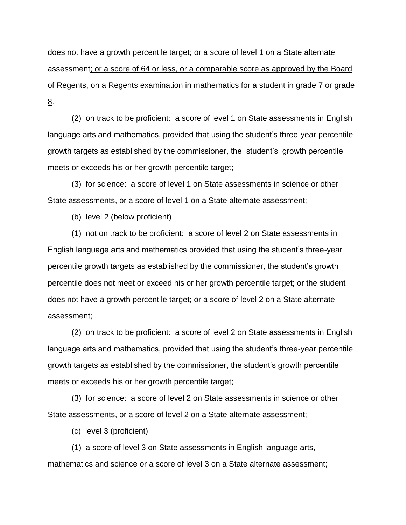does not have a growth percentile target; or a score of level 1 on a State alternate assessment; or a score of 64 or less, or a comparable score as approved by the Board of Regents, on a Regents examination in mathematics for a student in grade 7 or grade 8.

(2) on track to be proficient: a score of level 1 on State assessments in English language arts and mathematics, provided that using the student's three-year percentile growth targets as established by the commissioner, the student's growth percentile meets or exceeds his or her growth percentile target;

(3) for science: a score of level 1 on State assessments in science or other State assessments, or a score of level 1 on a State alternate assessment;

(b) level 2 (below proficient)

(1) not on track to be proficient: a score of level 2 on State assessments in English language arts and mathematics provided that using the student's three-year percentile growth targets as established by the commissioner, the student's growth percentile does not meet or exceed his or her growth percentile target; or the student does not have a growth percentile target; or a score of level 2 on a State alternate assessment;

(2) on track to be proficient: a score of level 2 on State assessments in English language arts and mathematics, provided that using the student's three-year percentile growth targets as established by the commissioner, the student's growth percentile meets or exceeds his or her growth percentile target;

(3) for science: a score of level 2 on State assessments in science or other State assessments, or a score of level 2 on a State alternate assessment;

(c) level 3 (proficient)

(1) a score of level 3 on State assessments in English language arts, mathematics and science or a score of level 3 on a State alternate assessment;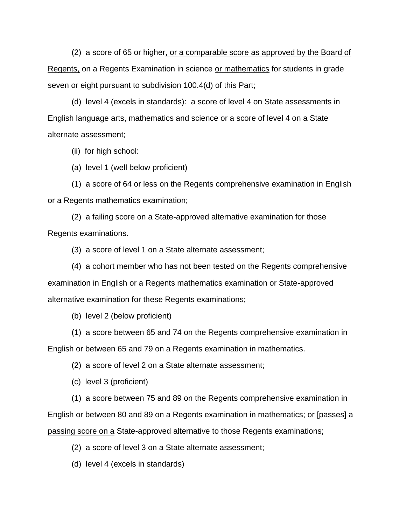(2) a score of 65 or higher, or a comparable score as approved by the Board of Regents, on a Regents Examination in science or mathematics for students in grade seven or eight pursuant to subdivision 100.4(d) of this Part;

(d) level 4 (excels in standards): a score of level 4 on State assessments in English language arts, mathematics and science or a score of level 4 on a State alternate assessment;

(ii) for high school:

(a) level 1 (well below proficient)

(1) a score of 64 or less on the Regents comprehensive examination in English or a Regents mathematics examination;

(2) a failing score on a State-approved alternative examination for those Regents examinations.

(3) a score of level 1 on a State alternate assessment;

(4) a cohort member who has not been tested on the Regents comprehensive examination in English or a Regents mathematics examination or State-approved alternative examination for these Regents examinations;

(b) level 2 (below proficient)

(1) a score between 65 and 74 on the Regents comprehensive examination in

English or between 65 and 79 on a Regents examination in mathematics.

(2) a score of level 2 on a State alternate assessment;

(c) level 3 (proficient)

(1) a score between 75 and 89 on the Regents comprehensive examination in

English or between 80 and 89 on a Regents examination in mathematics; or [passes] a

passing score on a State-approved alternative to those Regents examinations;

(2) a score of level 3 on a State alternate assessment;

(d) level 4 (excels in standards)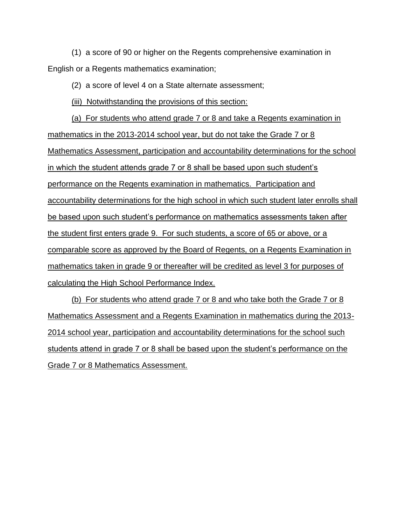(1) a score of 90 or higher on the Regents comprehensive examination in English or a Regents mathematics examination;

(2) a score of level 4 on a State alternate assessment;

(iii) Notwithstanding the provisions of this section:

(a) For students who attend grade 7 or 8 and take a Regents examination in mathematics in the 2013-2014 school year, but do not take the Grade 7 or 8 Mathematics Assessment, participation and accountability determinations for the school in which the student attends grade 7 or 8 shall be based upon such student's performance on the Regents examination in mathematics. Participation and accountability determinations for the high school in which such student later enrolls shall be based upon such student's performance on mathematics assessments taken after the student first enters grade 9. For such students, a score of 65 or above, or a comparable score as approved by the Board of Regents, on a Regents Examination in mathematics taken in grade 9 or thereafter will be credited as level 3 for purposes of calculating the High School Performance Index.

(b) For students who attend grade 7 or 8 and who take both the Grade 7 or 8 Mathematics Assessment and a Regents Examination in mathematics during the 2013- 2014 school year, participation and accountability determinations for the school such students attend in grade 7 or 8 shall be based upon the student's performance on the Grade 7 or 8 Mathematics Assessment.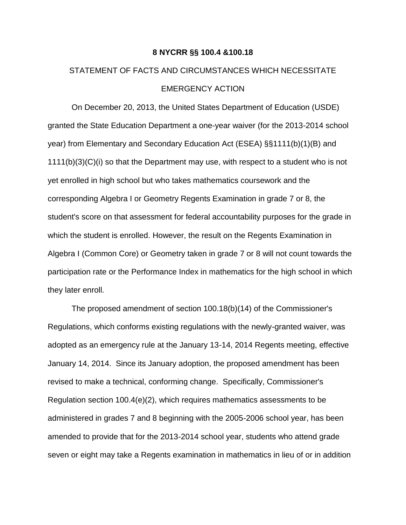#### **8 NYCRR §§ 100.4 &100.18**

# STATEMENT OF FACTS AND CIRCUMSTANCES WHICH NECESSITATE EMERGENCY ACTION

On December 20, 2013, the United States Department of Education (USDE) granted the State Education Department a one-year waiver (for the 2013-2014 school year) from Elementary and Secondary Education Act (ESEA) §§1111(b)(1)(B) and  $1111(b)(3)(C)(i)$  so that the Department may use, with respect to a student who is not yet enrolled in high school but who takes mathematics coursework and the corresponding Algebra I or Geometry Regents Examination in grade 7 or 8, the student's score on that assessment for federal accountability purposes for the grade in which the student is enrolled. However, the result on the Regents Examination in Algebra I (Common Core) or Geometry taken in grade 7 or 8 will not count towards the participation rate or the Performance Index in mathematics for the high school in which they later enroll.

The proposed amendment of section 100.18(b)(14) of the Commissioner's Regulations, which conforms existing regulations with the newly-granted waiver, was adopted as an emergency rule at the January 13-14, 2014 Regents meeting, effective January 14, 2014. Since its January adoption, the proposed amendment has been revised to make a technical, conforming change. Specifically, Commissioner's Regulation section 100.4(e)(2), which requires mathematics assessments to be administered in grades 7 and 8 beginning with the 2005-2006 school year, has been amended to provide that for the 2013-2014 school year, students who attend grade seven or eight may take a Regents examination in mathematics in lieu of or in addition